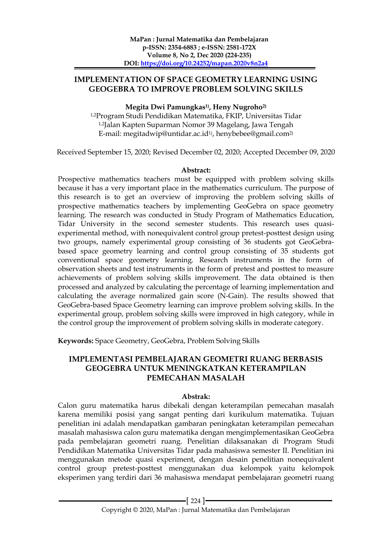# **IMPLEMENTATION OF SPACE GEOMETRY LEARNING USING GEOGEBRA TO IMPROVE PROBLEM SOLVING SKILLS**

## **Megita Dwi Pamungkas1) , Heny Nugroho2)**

1,2Program Studi Pendidikan Matematika, FKIP, Universitas Tidar 1,2Jalan Kapten Suparman Nomor 39 Magelang, Jawa Tengah E-mail: megitadwip@untidar.ac.id1) , henybebee@gmail.com2)

Received September 15, 2020; Revised December 02, 2020; Accepted December 09, 2020

### **Abstract:**

Prospective mathematics teachers must be equipped with problem solving skills because it has a very important place in the mathematics curriculum. The purpose of this research is to get an overview of improving the problem solving skills of prospective mathematics teachers by implementing GeoGebra on space geometry learning. The research was conducted in Study Program of Mathematics Education, Tidar University in the second semester students. This research uses quasiexperimental method, with nonequivalent control group pretest-posttest design using two groups, namely experimental group consisting of 36 students got GeoGebrabased space geometry learning and control group consisting of 35 students got conventional space geometry learning. Research instruments in the form of observation sheets and test instruments in the form of pretest and posttest to measure achievements of problem solving skills improvement. The data obtained is then processed and analyzed by calculating the percentage of learning implementation and calculating the average normalized gain score (N-Gain). The results showed that GeoGebra-based Space Geometry learning can improve problem solving skills. In the experimental group, problem solving skills were improved in high category, while in the control group the improvement of problem solving skills in moderate category.

**Keywords:** Space Geometry, GeoGebra, Problem Solving Skills

# **IMPLEMENTASI PEMBELAJARAN GEOMETRI RUANG BERBASIS GEOGEBRA UNTUK MENINGKATKAN KETERAMPILAN PEMECAHAN MASALAH**

# **Abstrak:**

Calon guru matematika harus dibekali dengan keterampilan pemecahan masalah karena memiliki posisi yang sangat penting dari kurikulum matematika. Tujuan penelitian ini adalah mendapatkan gambaran peningkatan keterampilan pemecahan masalah mahasiswa calon guru matematika dengan mengimplementasikan GeoGebra pada pembelajaran geometri ruang. Penelitian dilaksanakan di Program Studi Pendidikan Matematika Universitas Tidar pada mahasiswa semester II. Penelitian ini menggunakan metode quasi experiment, dengan desain penelitian nonequivalent control group pretest-posttest menggunakan dua kelompok yaitu kelompok eksperimen yang terdiri dari 36 mahasiswa mendapat pembelajaran geometri ruang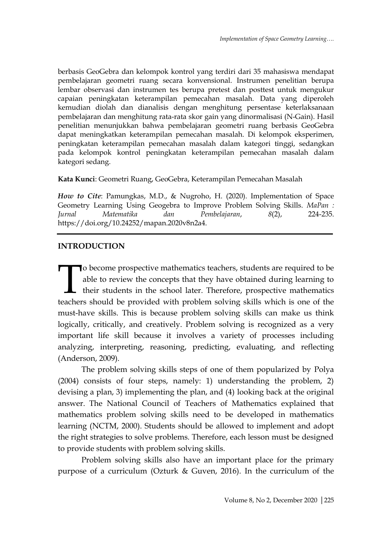berbasis GeoGebra dan kelompok kontrol yang terdiri dari 35 mahasiswa mendapat pembelajaran geometri ruang secara konvensional. Instrumen penelitian berupa lembar observasi dan instrumen tes berupa pretest dan posttest untuk mengukur capaian peningkatan keterampilan pemecahan masalah. Data yang diperoleh kemudian diolah dan dianalisis dengan menghitung persentase keterlaksanaan pembelajaran dan menghitung rata-rata skor gain yang dinormalisasi (N-Gain). Hasil penelitian menunjukkan bahwa pembelajaran geometri ruang berbasis GeoGebra dapat meningkatkan keterampilan pemecahan masalah. Di kelompok eksperimen, peningkatan keterampilan pemecahan masalah dalam kategori tinggi, sedangkan pada kelompok kontrol peningkatan keterampilan pemecahan masalah dalam kategori sedang.

**Kata Kunci**: Geometri Ruang, GeoGebra, Keterampilan Pemecahan Masalah

*How to Cite*: Pamungkas, M.D., & Nugroho, H. (2020). Implementation of Space Geometry Learning Using Geogebra to Improve Problem Solving Skills. *MaPan : Iurnal Matematika dan Pembelaiaran.* 8(2). 224-235. *Jurnal Matematika dan Pembelajaran*, *8*(2), 224-235. https://doi.org/10.24252/mapan.2020v8n2a4.

# **INTRODUCTION**

o become prospective mathematics teachers, students are required to be able to review the concepts that they have obtained during learning to their students in the school later. Therefore, prospective mathematics teachers should be provided with problem solving skills which is one of the must-have skills. This is because problem solving skills can make us think logically, critically, and creatively. Problem solving is recognized as a very important life skill because it involves a variety of processes including analyzing, interpreting, reasoning, predicting, evaluating, and reflecting (Anderson, 2009). T<br>teacher

The problem solving skills steps of one of them popularized by Polya (2004) consists of four steps, namely: 1) understanding the problem, 2) devising a plan, 3) implementing the plan, and (4) looking back at the original answer. The National Council of Teachers of Mathematics explained that mathematics problem solving skills need to be developed in mathematics learning (NCTM, 2000). Students should be allowed to implement and adopt the right strategies to solve problems. Therefore, each lesson must be designed to provide students with problem solving skills.

Problem solving skills also have an important place for the primary purpose of a curriculum (Ozturk & Guven, 2016). In the curriculum of the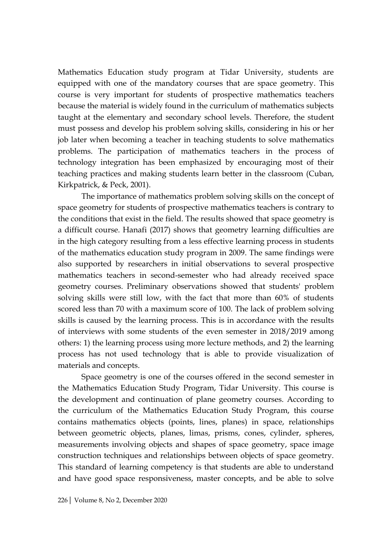Mathematics Education study program at Tidar University, students are equipped with one of the mandatory courses that are space geometry. This course is very important for students of prospective mathematics teachers because the material is widely found in the curriculum of mathematics subjects taught at the elementary and secondary school levels. Therefore, the student must possess and develop his problem solving skills, considering in his or her job later when becoming a teacher in teaching students to solve mathematics problems. The participation of mathematics teachers in the process of technology integration has been emphasized by encouraging most of their teaching practices and making students learn better in the classroom (Cuban, Kirkpatrick, & Peck, 2001).

The importance of mathematics problem solving skills on the concept of space geometry for students of prospective mathematics teachers is contrary to the conditions that exist in the field. The results showed that space geometry is a difficult course. Hanafi (2017) shows that geometry learning difficulties are in the high category resulting from a less effective learning process in students of the mathematics education study program in 2009. The same findings were also supported by researchers in initial observations to several prospective mathematics teachers in second-semester who had already received space geometry courses. Preliminary observations showed that students' problem solving skills were still low, with the fact that more than 60% of students scored less than 70 with a maximum score of 100. The lack of problem solving skills is caused by the learning process. This is in accordance with the results of interviews with some students of the even semester in 2018/2019 among others: 1) the learning process using more lecture methods, and 2) the learning process has not used technology that is able to provide visualization of materials and concepts.

Space geometry is one of the courses offered in the second semester in the Mathematics Education Study Program, Tidar University. This course is the development and continuation of plane geometry courses. According to the curriculum of the Mathematics Education Study Program, this course contains mathematics objects (points, lines, planes) in space, relationships between geometric objects, planes, limas, prisms, cones, cylinder, spheres, measurements involving objects and shapes of space geometry, space image construction techniques and relationships between objects of space geometry. This standard of learning competency is that students are able to understand and have good space responsiveness, master concepts, and be able to solve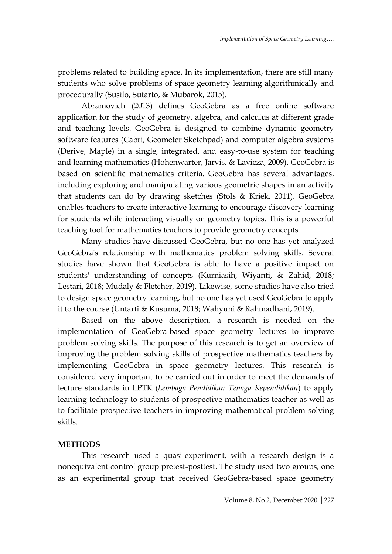problems related to building space. In its implementation, there are still many students who solve problems of space geometry learning algorithmically and procedurally (Susilo, Sutarto, & Mubarok, 2015).

Abramovich (2013) defines GeoGebra as a free online software application for the study of geometry, algebra, and calculus at different grade and teaching levels. GeoGebra is designed to combine dynamic geometry software features (Cabri, Geometer Sketchpad) and computer algebra systems (Derive, Maple) in a single, integrated, and easy-to-use system for teaching and learning mathematics (Hohenwarter, Jarvis, & Lavicza, 2009). GeoGebra is based on scientific mathematics criteria. GeoGebra has several advantages, including exploring and manipulating various geometric shapes in an activity that students can do by drawing sketches (Stols & Kriek, 2011). GeoGebra enables teachers to create interactive learning to encourage discovery learning for students while interacting visually on geometry topics. This is a powerful teaching tool for mathematics teachers to provide geometry concepts.

Many studies have discussed GeoGebra, but no one has yet analyzed GeoGebra's relationship with mathematics problem solving skills. Several studies have shown that GeoGebra is able to have a positive impact on students' understanding of concepts (Kurniasih, Wiyanti, & Zahid, 2018; Lestari, 2018; Mudaly & Fletcher, 2019). Likewise, some studies have also tried to design space geometry learning, but no one has yet used GeoGebra to apply it to the course (Untarti & Kusuma, 2018; Wahyuni & Rahmadhani, 2019).

Based on the above description, a research is needed on the implementation of GeoGebra-based space geometry lectures to improve problem solving skills. The purpose of this research is to get an overview of improving the problem solving skills of prospective mathematics teachers by implementing GeoGebra in space geometry lectures. This research is considered very important to be carried out in order to meet the demands of lecture standards in LPTK (*Lembaga Pendidikan Tenaga Kependidikan*) to apply learning technology to students of prospective mathematics teacher as well as to facilitate prospective teachers in improving mathematical problem solving skills.

### **METHODS**

This research used a quasi-experiment, with a research design is a nonequivalent control group pretest-posttest. The study used two groups, one as an experimental group that received GeoGebra-based space geometry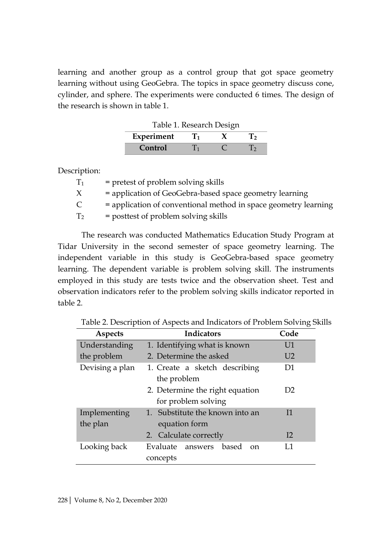learning and another group as a control group that got space geometry learning without using GeoGebra. The topics in space geometry discuss cone, cylinder, and sphere. The experiments were conducted 6 times. The design of the research is shown in table 1.

| Table 1. Research Design |              |  |              |  |  |
|--------------------------|--------------|--|--------------|--|--|
| Experiment               | $\mathbf{I}$ |  | $\mathbf{r}$ |  |  |
| Control                  | Π'n          |  | $\mathbf{1}$ |  |  |

Description:

| $\rm T_1$ | $=$ pretest of problem solving skills                           |
|-----------|-----------------------------------------------------------------|
| X.        | = application of GeoGebra-based space geometry learning         |
| C.        | = application of conventional method in space geometry learning |
| $\rm T_2$ | = posttest of problem solving skills                            |

The research was conducted Mathematics Education Study Program at Tidar University in the second semester of space geometry learning. The independent variable in this study is GeoGebra-based space geometry learning. The dependent variable is problem solving skill. The instruments employed in this study are tests twice and the observation sheet. Test and observation indicators refer to the problem solving skills indicator reported in table 2.

Table 2. Description of Aspects and Indicators of Problem Solving Skills

| <b>Aspects</b>      | <b>Indicators</b>                  | Code           |  |  |  |  |
|---------------------|------------------------------------|----------------|--|--|--|--|
| Understanding       | 1. Identifying what is known       | U1             |  |  |  |  |
| the problem         | 2. Determine the asked             | U <sub>2</sub> |  |  |  |  |
| Devising a plan     | 1. Create a sketch describing      | D1             |  |  |  |  |
|                     | the problem                        |                |  |  |  |  |
|                     | 2. Determine the right equation    | D <sub>2</sub> |  |  |  |  |
| for problem solving |                                    |                |  |  |  |  |
| Implementing        | 1. Substitute the known into an    | 11             |  |  |  |  |
| the plan            | equation form                      |                |  |  |  |  |
|                     | 2. Calculate correctly             | 12             |  |  |  |  |
| Looking back        | Evaluate answers based<br>$\alpha$ | T.1            |  |  |  |  |
|                     | concepts                           |                |  |  |  |  |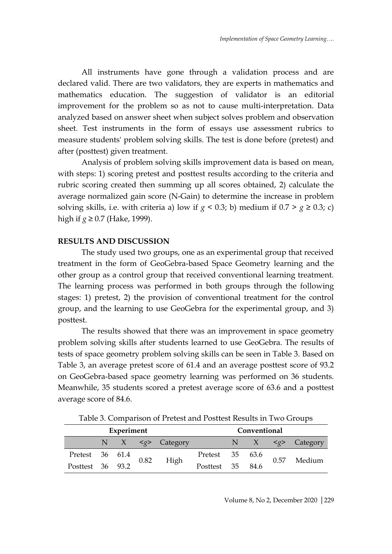All instruments have gone through a validation process and are declared valid. There are two validators, they are experts in mathematics and mathematics education. The suggestion of validator is an editorial improvement for the problem so as not to cause multi-interpretation. Data analyzed based on answer sheet when subject solves problem and observation sheet. Test instruments in the form of essays use assessment rubrics to measure students' problem solving skills. The test is done before (pretest) and after (posttest) given treatment.

Analysis of problem solving skills improvement data is based on mean, with steps: 1) scoring pretest and posttest results according to the criteria and rubric scoring created then summing up all scores obtained, 2) calculate the average normalized gain score (N-Gain) to determine the increase in problem solving skills, i.e. with criteria a) low if  $g < 0.3$ ; b) medium if  $0.7 > g \ge 0.3$ ; c) high if *g* ≥ 0.7 (Hake, 1999).

## **RESULTS AND DISCUSSION**

The study used two groups, one as an experimental group that received treatment in the form of GeoGebra-based Space Geometry learning and the other group as a control group that received conventional learning treatment. The learning process was performed in both groups through the following stages: 1) pretest, 2) the provision of conventional treatment for the control group, and the learning to use GeoGebra for the experimental group, and 3) posttest.

The results showed that there was an improvement in space geometry problem solving skills after students learned to use GeoGebra. The results of tests of space geometry problem solving skills can be seen in Table 3. Based on Table 3, an average pretest score of 61.4 and an average posttest score of 93.2 on GeoGebra-based space geometry learning was performed on 36 students. Meanwhile, 35 students scored a pretest average score of 63.6 and a posttest average score of 84.6.

| Experiment       |  |  |      | Conventional          |                  |  |  |      |                         |
|------------------|--|--|------|-----------------------|------------------|--|--|------|-------------------------|
|                  |  |  |      | N $X \leq g$ Category |                  |  |  |      | N $X \leq g$ > Category |
| Pretest 36 61.4  |  |  | 0.82 | High                  | Pretest 35 63.6  |  |  | 0.57 | Medium                  |
| Posttest 36 93.2 |  |  |      |                       | Posttest 35 84.6 |  |  |      |                         |

Table 3. Comparison of Pretest and Posttest Results in Two Groups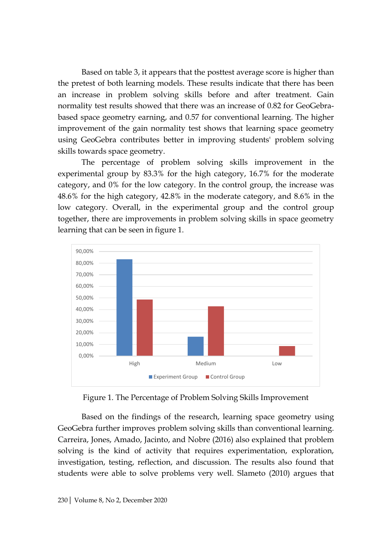Based on table 3, it appears that the posttest average score is higher than the pretest of both learning models. These results indicate that there has been an increase in problem solving skills before and after treatment. Gain normality test results showed that there was an increase of 0.82 for GeoGebrabased space geometry earning, and 0.57 for conventional learning. The higher improvement of the gain normality test shows that learning space geometry using GeoGebra contributes better in improving students' problem solving skills towards space geometry.

The percentage of problem solving skills improvement in the experimental group by 83.3% for the high category, 16.7% for the moderate category, and 0% for the low category. In the control group, the increase was 48.6% for the high category, 42.8% in the moderate category, and 8.6% in the low category. Overall, in the experimental group and the control group together, there are improvements in problem solving skills in space geometry learning that can be seen in figure 1.



Figure 1. The Percentage of Problem Solving Skills Improvement

Based on the findings of the research, learning space geometry using GeoGebra further improves problem solving skills than conventional learning. Carreira, Jones, Amado, Jacinto, and Nobre (2016) also explained that problem solving is the kind of activity that requires experimentation, exploration, investigation, testing, reflection, and discussion. The results also found that students were able to solve problems very well. Slameto (2010) argues that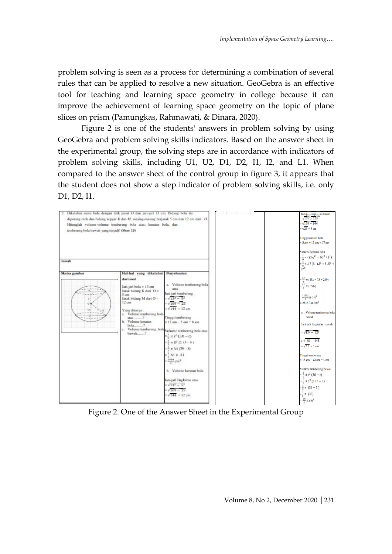problem solving is seen as a process for determining a combination of several rules that can be applied to resolve a new situation. GeoGebra is an effective tool for teaching and learning space geometry in college because it can improve the achievement of learning space geometry on the topic of plane slices on prism (Pamungkas, Rahmawati, & Dinara, 2020).

Figure 2 is one of the students' answers in problem solving by using GeoGebra and problem solving skills indicators. Based on the answer sheet in the experimental group, the solving steps are in accordance with indicators of problem solving skills, including U1, U2, D1, D2, I1, I2, and L1. When compared to the answer sheet of the control group in figure 3, it appears that the student does not show a step indicator of problem solving skills, i.e. only D1, D2, I1.



Figure 2. One of the Answer Sheet in the Experimental Group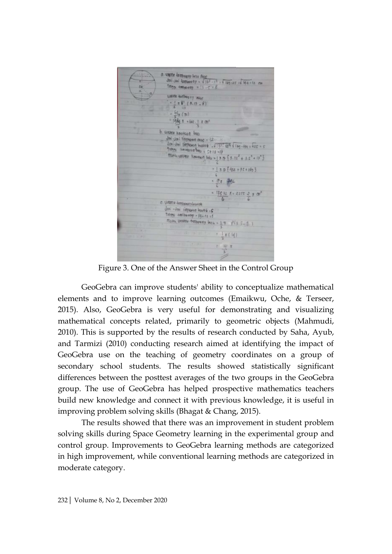a wante kombogoy beta Alac<br>Jon Jon Jonkov of Alac - 1<br>Tinggi kombov og - 11 - 1 - 8  $1\sqrt{169-25} = \sqrt{169-16}$ which feithing ag also  $\frac{1}{2} \pi 8^7 (3.13 - 8)$  $\frac{6}{3}$  (31) 1984 N = 641. | X 011 b. viewere kovatsan buo Joi Joi lingiano alor don't dan't life province that the world of 154.<br>Title in the season beg = 5+12 =17  $42^{\frac{3}{2}}$  1 1 6g - 194 = 125 = 1 Make / USURE Research Total + 1 & D { 5.12<sup>2</sup> + 3.5<sup>2</sup> + 17<sup>2</sup> } 11 17 432 + 75 + 282 3 13532 8=2255 2 1 0 c. Vistame Fentionery Interior  $\frac{1}{2}$ oni - Jani ringkaran bawa L - C  $Im(99)$  +mlbs rdg =  $16 - 12 = 1$ Make, Volume fullbering lets =  $\frac{1}{n}\pi - \frac{3}{2}(3.5 - 1)$  $18(4)$ 

Figure 3. One of the Answer Sheet in the Control Group

GeoGebra can improve students' ability to conceptualize mathematical elements and to improve learning outcomes (Emaikwu, Oche, & Terseer, 2015). Also, GeoGebra is very useful for demonstrating and visualizing mathematical concepts related, primarily to geometric objects (Mahmudi, 2010). This is supported by the results of research conducted by Saha, Ayub, and Tarmizi (2010) conducting research aimed at identifying the impact of GeoGebra use on the teaching of geometry coordinates on a group of secondary school students. The results showed statistically significant differences between the posttest averages of the two groups in the GeoGebra group. The use of GeoGebra has helped prospective mathematics teachers build new knowledge and connect it with previous knowledge, it is useful in improving problem solving skills (Bhagat & Chang, 2015).

The results showed that there was an improvement in student problem solving skills during Space Geometry learning in the experimental group and control group. Improvements to GeoGebra learning methods are categorized in high improvement, while conventional learning methods are categorized in moderate category.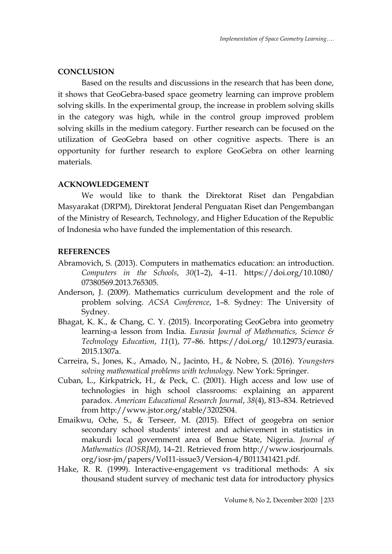#### **CONCLUSION**

Based on the results and discussions in the research that has been done, it shows that GeoGebra-based space geometry learning can improve problem solving skills. In the experimental group, the increase in problem solving skills in the category was high, while in the control group improved problem solving skills in the medium category. Further research can be focused on the utilization of GeoGebra based on other cognitive aspects. There is an opportunity for further research to explore GeoGebra on other learning materials.

### **ACKNOWLEDGEMENT**

We would like to thank the Direktorat Riset dan Pengabdian Masyarakat (DRPM), Direktorat Jenderal Penguatan Riset dan Pengembangan of the Ministry of Research, Technology, and Higher Education of the Republic of Indonesia who have funded the implementation of this research.

#### **REFERENCES**

- Abramovich, S. (2013). Computers in mathematics education: an introduction. *Computers in the Schools*, *30*(1–2), 4–11. https://doi.org/10.1080/ 07380569.2013.765305.
- Anderson, J. (2009). Mathematics curriculum development and the role of problem solving. *ACSA Conference*, 1–8. Sydney: The University of Sydney.
- Bhagat, K. K., & Chang, C. Y. (2015). Incorporating GeoGebra into geometry learning-a lesson from India. *Eurasia Journal of Mathematics, Science & Technology Education*, *11*(1), 77–86. https://doi.org/ 10.12973/eurasia. 2015.1307a.
- Carreira, S., Jones, K., Amado, N., Jacinto, H., & Nobre, S. (2016). *Youngsters solving mathematical problems with technology*. New York: Springer.
- Cuban, L., Kirkpatrick, H., & Peck, C. (2001). High access and low use of technologies in high school classrooms: explaining an apparent paradox. *American Educational Research Journal*, *38*(4), 813–834. Retrieved from http://www.jstor.org/stable/3202504.
- Emaikwu, Oche, S., & Terseer, M. (2015). Effect of geogebra on senior secondary school students' interest and achievement in statistics in makurdi local government area of Benue State, Nigeria. *Journal of Mathematics (IOSRJM)*, 14–21. Retrieved from http://www.iosrjournals. org/iosr-jm/papers/Vol11-issue3/Version-4/B011341421.pdf.
- Hake, R. R. (1999). Interactive-engagement vs traditional methods: A six thousand student survey of mechanic test data for introductory physics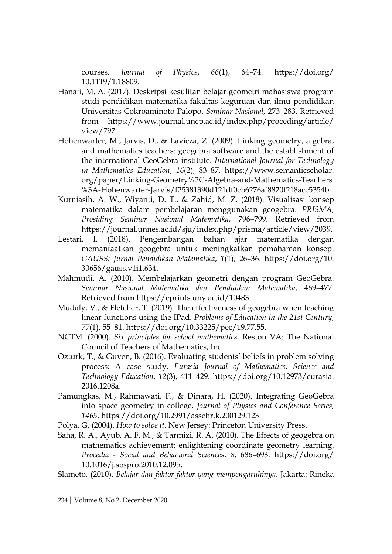courses. *Journal of Physics*, *66*(1), 64–74. https://doi.org/ 10.1119/1.18809.

- Hanafi, M. A. (2017). Deskripsi kesulitan belajar geometri mahasiswa program studi pendidikan matematika fakultas keguruan dan ilmu pendidikan Universitas Cokroaminoto Palopo. *Seminar Nasional*, 273–283. Retrieved from https://www.journal.uncp.ac.id/index.php/proceding/article/ view/797.
- Hohenwarter, M., Jarvis, D., & Lavicza, Z. (2009). Linking geometry, algebra, and mathematics teachers: geogebra software and the establishment of the international GeoGebra institute. *International Journal for Technology in Mathematics Education*, *16*(2), 83–87. https://www.semanticscholar. org/paper/Linking-Geometry%2C-Algebra-and-Mathematics-Teachers %3A-Hohenwarter-Jarvis/f25381390d121df0cb6276af8820f218acc5354b.
- Kurniasih, A. W., Wiyanti, D. T., & Zahid, M. Z. (2018). Visualisasi konsep matematika dalam pembelajaran menggunakan geogebra. *PRISMA, Prosiding Seminar Nasional Matematika*, 796–799. Retrieved from https://journal.unnes.ac.id/sju/index.php/prisma/article/view/2039.
- Lestari, I. (2018). Pengembangan bahan ajar matematika dengan memanfaatkan geogebra untuk meningkatkan pemahaman konsep. *GAUSS: Jurnal Pendidikan Matematika*, *1*(1), 26–36. https://doi.org/10. 30656/gauss.v1i1.634.
- Mahmudi, A. (2010). Membelajarkan geometri dengan program GeoGebra. *Seminar Nasional Matematika dan Pendidikan Matematika*, 469–477. Retrieved from https://eprints.uny.ac.id/10483.
- Mudaly, V., & Fletcher, T. (2019). The effectiveness of geogebra when teaching linear functions using the IPad. *Problems of Education in the 21st Century*, *77*(1), 55–81. https://doi.org/10.33225/pec/19.77.55.
- NCTM. (2000). *Six principles for school mathematics*. Reston VA: The National Council of Teachers of Mathematics, Inc.
- Ozturk, T., & Guven, B. (2016). Evaluating students' beliefs in problem solving process: A case study. *Eurasia Journal of Mathematics, Science and Technology Education*, *12*(3), 411–429. https://doi.org/10.12973/eurasia. 2016.1208a.
- Pamungkas, M., Rahmawati, F., & Dinara, H. (2020). Integrating GeoGebra into space geometry in college. *Journal of Physics and Conference Series, 1465*. https://doi.org/10.2991/assehr.k.200129.123.
- Polya, G. (2004). *How to solve it*. New Jersey: Princeton University Press.
- Saha, R. A., Ayub, A. F. M., & Tarmizi, R. A. (2010). The Effects of geogebra on mathematics achievement: enlightening coordinate geometry learning. *Procedia - Social and Behavioral Sciences*, *8*, 686–693. https://doi.org/ 10.1016/j.sbspro.2010.12.095.
- Slameto. (2010). *Belajar dan faktor-faktor yang mempengaruhinya*. Jakarta: Rineka

234| Volume 8, No 2, December 2020